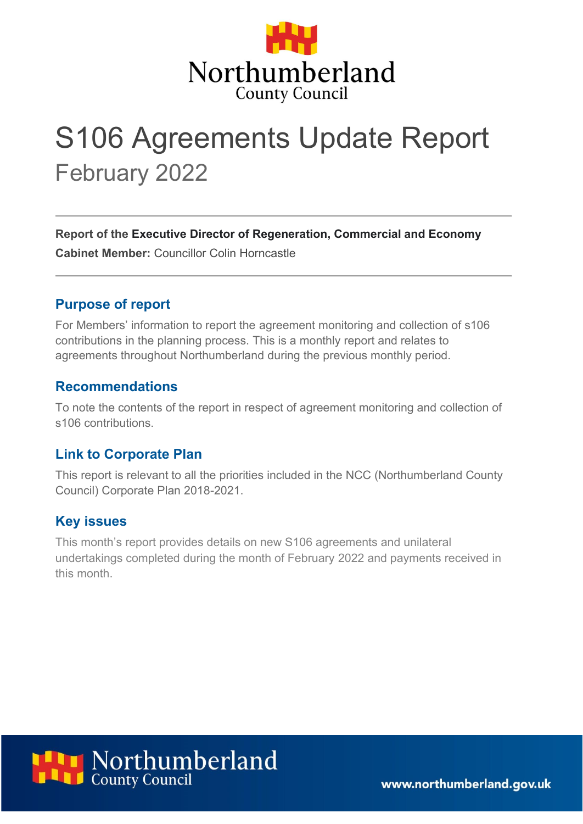

# S106 Agreements Update Report February 2022

**Report of the Executive Director of Regeneration, Commercial and Economy Cabinet Member:** Councillor Colin Horncastle

### **Purpose of report**

For Members' information to report the agreement monitoring and collection of s106 contributions in the planning process. This is a monthly report and relates to agreements throughout Northumberland during the previous monthly period.

#### **Recommendations**

To note the contents of the report in respect of agreement monitoring and collection of s106 contributions.

#### **Link to Corporate Plan**

This report is relevant to all the priorities included in the NCC (Northumberland County Council) Corporate Plan 2018-2021.

#### **Key issues**

This month's report provides details on new S106 agreements and unilateral undertakings completed during the month of February 2022 and payments received in this month.



www.northumberland.gov.uk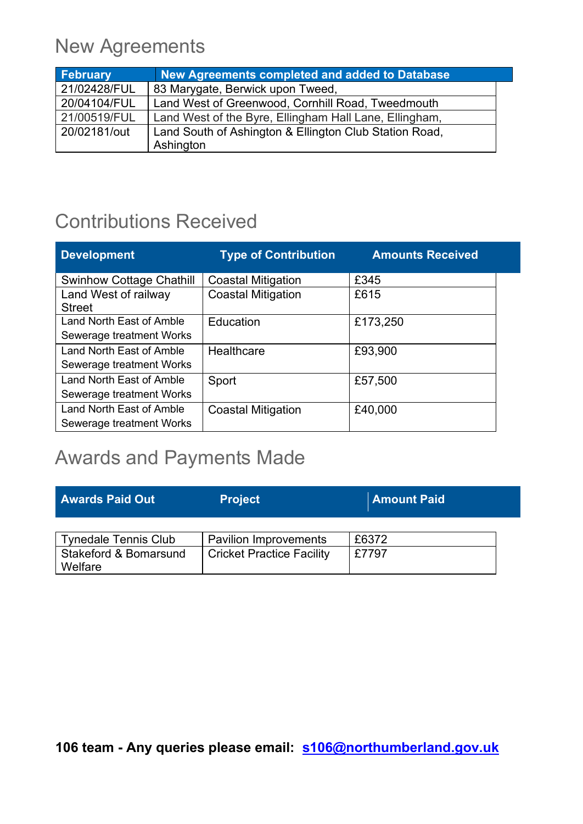### New Agreements

| <b>February</b> | New Agreements completed and added to Database         |
|-----------------|--------------------------------------------------------|
| 21/02428/FUL    | 83 Marygate, Berwick upon Tweed,                       |
| 20/04104/FUL    | Land West of Greenwood, Cornhill Road, Tweedmouth      |
| 21/00519/FUL    | Land West of the Byre, Ellingham Hall Lane, Ellingham, |
| 20/02181/out    | Land South of Ashington & Ellington Club Station Road, |
|                 | Ashington                                              |

### Contributions Received

| <b>Development</b>              | <b>Type of Contribution</b> | <b>Amounts Received</b> |
|---------------------------------|-----------------------------|-------------------------|
| <b>Swinhow Cottage Chathill</b> | <b>Coastal Mitigation</b>   | £345                    |
| Land West of railway            | <b>Coastal Mitigation</b>   | £615                    |
| <b>Street</b>                   |                             |                         |
| <b>Land North East of Amble</b> | Education                   | £173,250                |
| Sewerage treatment Works        |                             |                         |
| Land North East of Amble        | Healthcare                  | £93,900                 |
| Sewerage treatment Works        |                             |                         |
| Land North East of Amble        | Sport                       | £57,500                 |
| Sewerage treatment Works        |                             |                         |
| Land North East of Amble        | <b>Coastal Mitigation</b>   | £40,000                 |
| Sewerage treatment Works        |                             |                         |

### Awards and Payments Made

| <b>Awards Paid Out</b>                      | <b>Project</b>                   | <b>Amount Paid</b> |
|---------------------------------------------|----------------------------------|--------------------|
|                                             |                                  |                    |
| <b>Tynedale Tennis Club</b>                 | <b>Pavilion Improvements</b>     | £6372              |
| <b>Stakeford &amp; Bomarsund</b><br>Welfare | <b>Cricket Practice Facility</b> | £7797              |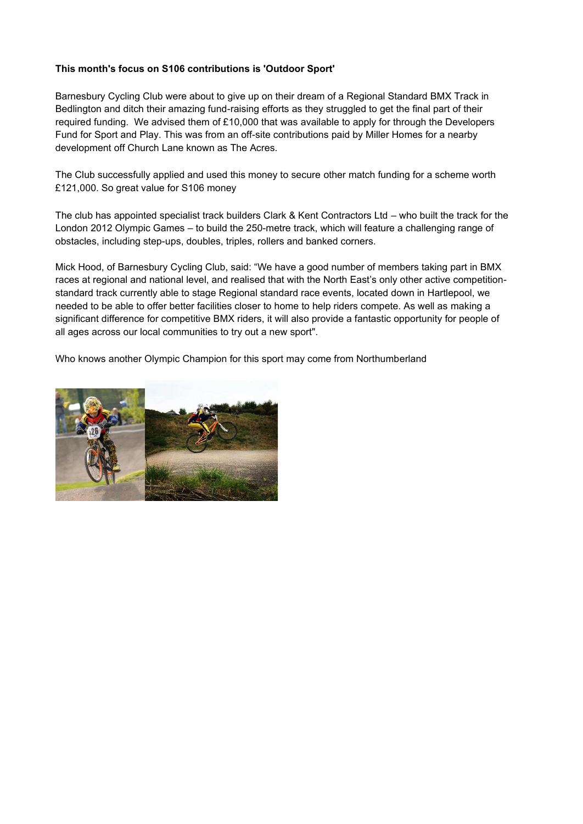#### **This month's focus on S106 contributions is 'Outdoor Sport'**

Barnesbury Cycling Club were about to give up on their dream of a Regional Standard BMX Track in Bedlington and ditch their amazing fund-raising efforts as they struggled to get the final part of their required funding. We advised them of £10,000 that was available to apply for through the Developers Fund for Sport and Play. This was from an off-site contributions paid by Miller Homes for a nearby development off Church Lane known as The Acres.

The Club successfully applied and used this money to secure other match funding for a scheme worth £121,000. So great value for S106 money

The club has appointed specialist track builders Clark & Kent Contractors Ltd – who built the track for the London 2012 Olympic Games – to build the 250-metre track, which will feature a challenging range of obstacles, including step-ups, doubles, triples, rollers and banked corners.

Mick Hood, of Barnesbury Cycling Club, said: "We have a good number of members taking part in BMX races at regional and national level, and realised that with the North East's only other active competitionstandard track currently able to stage Regional standard race events, located down in Hartlepool, we needed to be able to offer better facilities closer to home to help riders compete. As well as making a significant difference for competitive BMX riders, it will also provide a fantastic opportunity for people of all ages across our local communities to try out a new sport".

Who knows another Olympic Champion for this sport may come from Northumberland